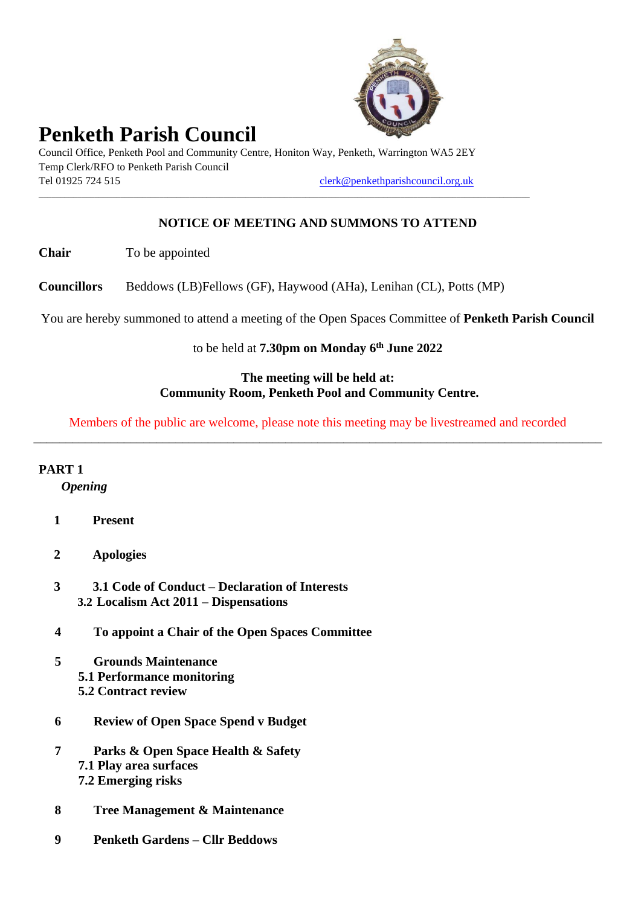

# **Penketh Parish Council**

Council Office, Penketh Pool and Community Centre, Honiton Way, Penketh, Warrington WA5 2EY Temp Clerk/RFO to Penketh Parish Council Tel 01925 724 515 [clerk@penkethparishcouncil.org.uk](mailto:clerk@penkethparishcouncil.org.uk)

\_\_\_\_\_\_\_\_\_\_\_\_\_\_\_\_\_\_\_\_\_\_\_\_\_\_\_\_\_\_\_\_\_\_\_\_\_\_\_\_\_\_\_\_\_\_\_\_\_\_\_\_\_\_\_\_\_\_\_\_\_\_\_\_\_\_\_\_\_\_\_\_\_\_\_\_\_\_\_\_\_\_\_\_\_\_\_\_\_\_\_\_\_\_\_\_\_\_\_\_\_\_\_\_\_\_\_\_\_\_\_\_\_\_

## **NOTICE OF MEETING AND SUMMONS TO ATTEND**

**Chair** To be appointed

**Councillors** Beddows (LB)Fellows (GF), Haywood (AHa), Lenihan (CL), Potts (MP)

You are hereby summoned to attend a meeting of the Open Spaces Committee of **Penketh Parish Council**

#### to be held at **7.30pm on Monday 6 th June 2022**

#### **The meeting will be held at: Community Room, Penketh Pool and Community Centre.**

Members of the public are welcome, please note this meeting may be livestreamed and recorded \_\_\_\_\_\_\_\_\_\_\_\_\_\_\_\_\_\_\_\_\_\_\_\_\_\_\_\_\_\_\_\_\_\_\_\_\_\_\_\_\_\_\_\_\_\_\_\_\_\_\_\_\_\_\_\_\_\_\_\_\_\_\_\_\_\_\_\_\_\_\_\_\_\_\_\_\_\_\_\_\_\_\_\_\_\_\_\_

#### **PART 1**

*Opening*

- **1 Present**
- **2 Apologies**
- **3 3.1 Code of Conduct – Declaration of Interests 3.2 Localism Act 2011 – Dispensations**
- **4 To appoint a Chair of the Open Spaces Committee**
- **5 Grounds Maintenance 5.1 Performance monitoring 5.2 Contract review**
- **6 Review of Open Space Spend v Budget**
- **7 Parks & Open Space Health & Safety 7.1 Play area surfaces 7.2 Emerging risks**
- **8 Tree Management & Maintenance**
- **9 Penketh Gardens – Cllr Beddows**